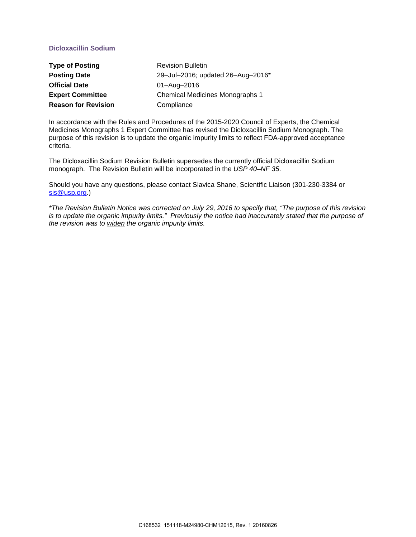# **Dicloxacillin Sodium**

| <b>Type of Posting</b>     | <b>Revision Bulletin</b>          |
|----------------------------|-----------------------------------|
| <b>Posting Date</b>        | 29-Jul-2016; updated 26-Aug-2016* |
| <b>Official Date</b>       | 01-Aug-2016                       |
| <b>Expert Committee</b>    | Chemical Medicines Monographs 1   |
| <b>Reason for Revision</b> | Compliance                        |

In accordance with the Rules and Procedures of the 2015-2020 Council of Experts, the Chemical Medicines Monographs 1 Expert Committee has revised the Dicloxacillin Sodium Monograph. The purpose of this revision is to update the organic impurity limits to reflect FDA-approved acceptance criteria.

The Dicloxacillin Sodium Revision Bulletin supersedes the currently official Dicloxacillin Sodium monograph. The Revision Bulletin will be incorporated in the *USP 40–NF 35*.

Should you have any questions, please contact Slavica Shane, Scientific Liaison (301-230-3384 or [sis@usp.org.](mailto:sis@usp.org))

*\*The Revision Bulletin Notice was corrected on July 29, 2016 to specify that, "The purpose of this revision is to update the organic impurity limits." Previously the notice had inaccurately stated that the purpose of the revision was to widen the organic impurity limits.*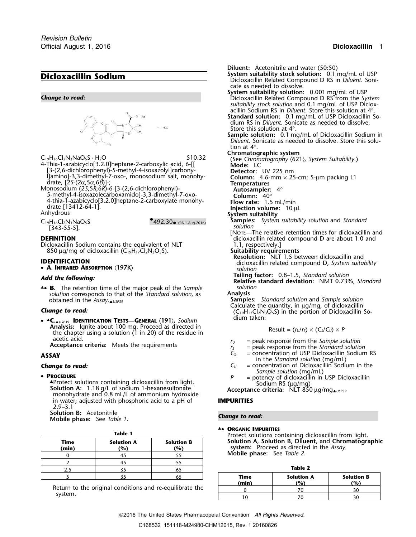# **Dicloxacillin Sodium Dicloxacillin Sodium Dicloxacillin Related Compound D RS in Diluent. Soni-**



[3-(2,6-dichlorophenyl)-5-methyl-4-isoxazolyl]carbony- **Detector:** UV 225 nm

drate,  $[2S-(2\alpha, 5\alpha, 6\beta)]$ ;<br>
Monosodium (25,5R,6R)-6-[3-(2,6-dichlorophenyl)-<br>
5-methyl-4-isoxazolecarboxamido]-3,3-dimethyl-7-oxo-<br>
Column: 40° 4-thia-1-azabicyclo[3.2.0]heptane-2-carboxylate monohy- **Flow rate:** 1.5 mL/min drate [13412-64-1]. **Injection volume:**<sup>10</sup> <sup>µ</sup><sup>L</sup>

[343-55-5]. *solution*

 $^{\bullet}$ 492.30 $_{\bullet}$  (RB 1-Aug-2016)

Dicloxacillin Sodium contains the equivalent of NLT 850 µg/mg of dicloxacillin (C<sub>19</sub>H<sub>17</sub>Cl<sub>2</sub>N<sub>3</sub>O<sub>5</sub>S).

• **A. INFRARED ABSORPTION** 〈**197K**〉 *solution*

▲**.**• **<sup>B</sup>.** The retention time of the major peak of the *Sample solution solution* corresponds to that of the *Standard solution*, as **Analysis**<br>**Sample Sample** 

dium taken: • ▲**.C.**▲*USP39* **IDENTIFICATION TESTS—GENERAL** 〈**191**〉**,** *Sodium* **Analysis:** Ignite about 100 mg. Proceed as directed in the chapter using a solution (1 in 20) of the residue in acetic acid.<br> **Acceptance criteria:** Meets the requirements *r<sub>S</sub>* = peak response from the *Standard solution*<br> **C**<sub>S</sub> = concentration of USP Dicloxacillin Sodium

## • PROCEDURE

**Solution A:** 1.18 g/L of sodium 1-hexanesulfonate<br>monohydrate and 0.8 mL/L of ammonium hydroxide<br>in water: adiusted with phosphoric acid to a pH of **IMPURITIES** in water; adjusted with phosphoric acid to a pH of 2.9–3.1 **Solution B:** Acetonitrile

**Mobile phase:** *Change to read:* See *Table 1*.

| . .<br>۰.<br>٠<br>×<br>M. |
|---------------------------|
|---------------------------|

| Trotect solutions containing a<br>Solution A, Solution B, Dilue<br>system: Proceed as directed | <b>Solution B</b><br>(%) | <b>Solution A</b><br>(%) | Time<br>(min) |
|------------------------------------------------------------------------------------------------|--------------------------|--------------------------|---------------|
| Mobile phase: See Table 2.                                                                     |                          |                          |               |
|                                                                                                |                          |                          |               |
| Table 2                                                                                        |                          |                          |               |
| <b>Solution</b><br>Time                                                                        |                          |                          |               |

cate as needed to dissolve. **System suitability solution:** 0.001 mg/mL of USP *Change to read:* Dicloxacillin Related Compound D RS from the *System suitability stock solution* and 0.1 mg/mL of USP Dicloxacillin Sodium RS in *Diluent*. Store this solution at 4°. **Standard solution:** 0.1 mg/mL of USP Dicloxacillin Sodium RS in *Diluent*. Sonicate as needed to dissolve. Store this solution at 4°. **Sample solution:** 0.1 mg/mL of Dicloxacillin Sodium in *Diluent*. Sonicate as needed to dissolve. Store this solution at 4°. C<sub>19</sub>H<sub>16</sub>Cl<sub>2</sub>N<sub>3</sub>NaO<sub>5</sub>S · H<sub>2</sub>O 50 **510.32** (See *Chromatographic system* 621)*, System Suitability*.) 4-Thia-1-azabicyclo[3.2.0]heptane-2-carboxylic acid, 6-[[ **Mode:** LC

**Diluent:** Acetonitrile and water (50:50)<br>**System suitability stock solution:** 0.1 mg/mL of USP

## **System suitability**

- C<sub>19</sub>H<sub>16</sub>Cl<sub>2</sub>N<sub>3</sub>NaO<sub>5</sub>S<br>
5492.30• (RB 1-Aug-2016) <sup>Samples:</sup> System suitability solution<br>
50 solution
- [NOTE—The relative retention times for dicloxacillin and **DEFINITION**<br>Dicloxacillin Sodium contains the equivalent of NLT 1.1, respectively.]
	-
- Suitability requirements<br>Resolution: NLT 1.5 between dicloxacillin and **IDENTIFICATION**<br> **• A. INFRARED ABSORPTION** (197K) dicloxacillin related compound D, *System suitability*<br>
solution
	-
- **Tailing factor:** 0.8–1.5, *Standard solution Add the following:* **Relative standard deviation:** NMT 0.73%, *Standard*

**Samples:** *Standard solution and Sample solution* Calculate the quantity, in  $\mu q/mq$ , of dicloxacillin **Change to read:** (C<sub>19</sub>H<sub>17</sub>Cl<sub>2</sub>N<sub>3</sub>O<sub>5</sub>S) in the portion of Dicloxacillin So-<br> **ACCLE INTERFECTION TESTS** CENTRAL (191) Sodium and dium taken:

Result = 
$$
(r_U/r_S) \times (C_S/C_U) \times P
$$

- 
- 
- **ASSAY**  $C_5$  = concentration of USP Dicloxacillin Sodium RS<br> **C**<sub>*C*</sub> = concentration of Dicloxacillin Sodium in the <br> **C**<sub>*C*</sub> = concentration of Dicloxacillin Sodium in the
- **Change to read: C**<sub>*U*</sub> = concentration of Dicloxacillin Sodium in the *Sample solution* (mg/mL)
	- **PROCEDURE**<br>A Protect solutions containing dicloxacillin from light.<br>A Protect solutions containing dicloxacillin from light.<br>A Bodium RS (µg/mg)
		-

▲**.**• **ORGANIC IMPURITIES**

Protect solutions containing dicloxacillin from light. **Time Solution A Solution B Solution A, Solution B, Diluent,** and **Chromatographic (x)** system: Proceed as directed in the *Assay*. **Mobile phase:** See *Table 2*.

| 2.5<br>65                                               |  |  |     |                           | Table 2 |                   |  |  |
|---------------------------------------------------------|--|--|-----|---------------------------|---------|-------------------|--|--|
|                                                         |  |  |     | <b>Solution A</b><br>Time |         | <b>Solution B</b> |  |  |
| eturn to the original conditions and re-equilibrate the |  |  |     | (min)                     | (%)     | (9)               |  |  |
|                                                         |  |  |     |                           | 70      | 30                |  |  |
| svstem.                                                 |  |  | 1 ດ |                           | 30      |                   |  |  |